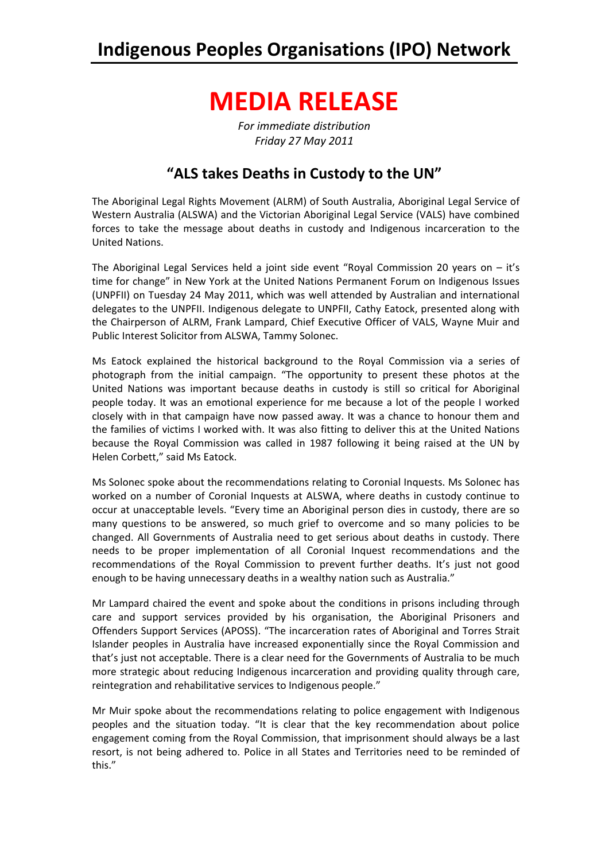### **Indigenous Peoples Organisations (IPO) Network**

# **MEDIA RELEASE**

*For immediate distribution Friday 27 May 2011*

### **"ALS takes Deaths in Custody to the UN"**

The Aboriginal Legal Rights Movement (ALRM) of South Australia, Aboriginal Legal Service of Western Australia (ALSWA) and the Victorian Aboriginal Legal Service (VALS) have combined forces to take the message about deaths in custody and Indigenous incarceration to the United Nations.

The Aboriginal Legal Services held a joint side event "Royal Commission 20 years on – it's time for change" in New York at the United Nations Permanent Forum on Indigenous Issues (UNPFII) on Tuesday 24 May 2011, which was well attended by Australian and international delegates to the UNPFII. Indigenous delegate to UNPFII, Cathy Eatock, presented along with the Chairperson of ALRM, Frank Lampard, Chief Executive Officer of VALS, Wayne Muir and Public Interest Solicitor from ALSWA, Tammy Solonec.

Ms Eatock explained the historical background to the Royal Commission via a series of photograph from the initial campaign. "The opportunity to present these photos at the United Nations was important because deaths in custody is still so critical for Aboriginal people today. It was an emotional experience for me because a lot of the people I worked closely with in that campaign have now passed away. It was a chance to honour them and the families of victims I worked with. It was also fitting to deliver this at the United Nations because the Royal Commission was called in 1987 following it being raised at the UN by Helen Corbett," said Ms Eatock.

Ms Solonec spoke about the recommendations relating to Coronial Inquests. Ms Solonec has worked on a number of Coronial Inquests at ALSWA, where deaths in custody continue to occur at unacceptable levels. "Every time an Aboriginal person dies in custody, there are so many questions to be answered, so much grief to overcome and so many policies to be changed. All Governments of Australia need to get serious about deaths in custody. There needs to be proper implementation of all Coronial Inquest recommendations and the recommendations of the Royal Commission to prevent further deaths. It's just not good enough to be having unnecessary deaths in a wealthy nation such as Australia."

Mr Lampard chaired the event and spoke about the conditions in prisons including through care and support services provided by his organisation, the Aboriginal Prisoners and Offenders Support Services (APOSS). "The incarceration rates of Aboriginal and Torres Strait Islander peoples in Australia have increased exponentially since the Royal Commission and that's just not acceptable. There is a clear need for the Governments of Australia to be much more strategic about reducing Indigenous incarceration and providing quality through care, reintegration and rehabilitative services to Indigenous people."

Mr Muir spoke about the recommendations relating to police engagement with Indigenous peoples and the situation today. "It is clear that the key recommendation about police engagement coming from the Royal Commission, that imprisonment should always be a last resort, is not being adhered to. Police in all States and Territories need to be reminded of this."